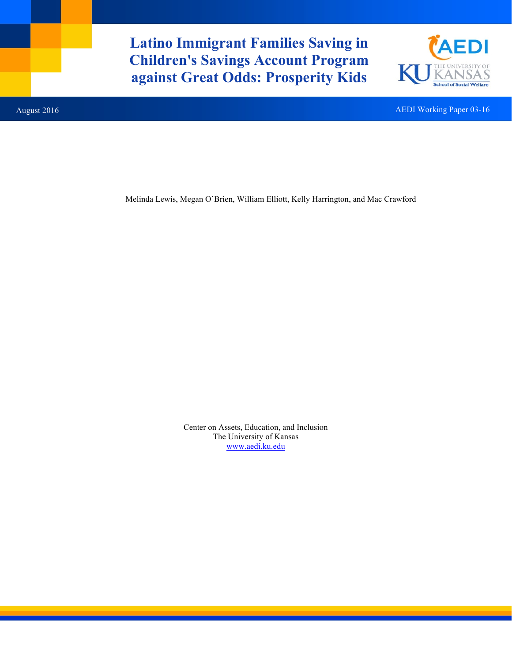**Latino Immigrant Families Saving in Children's Savings Account Program against Great Odds: Prosperity Kids**



August 2016 **AEDI Working Paper 03-16** AEDI Working Paper 03-16

Melinda Lewis, Megan O'Brien, William Elliott, Kelly Harrington, and Mac Crawford

Center on Assets, Education, and Inclusion The University of Kansas www.aedi.ku.edu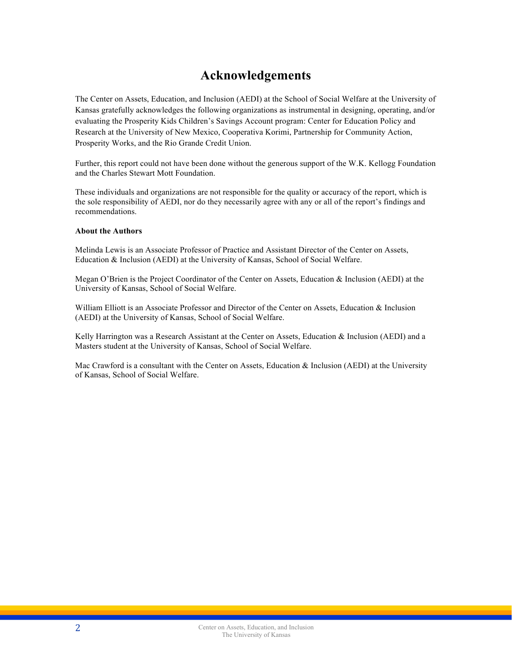## **Acknowledgements**

The Center on Assets, Education, and Inclusion (AEDI) at the School of Social Welfare at the University of Kansas gratefully acknowledges the following organizations as instrumental in designing, operating, and/or evaluating the Prosperity Kids Children's Savings Account program: Center for Education Policy and Research at the University of New Mexico, Cooperativa Korimi, Partnership for Community Action, Prosperity Works, and the Rio Grande Credit Union.

Further, this report could not have been done without the generous support of the W.K. Kellogg Foundation and the Charles Stewart Mott Foundation.

These individuals and organizations are not responsible for the quality or accuracy of the report, which is the sole responsibility of AEDI, nor do they necessarily agree with any or all of the report's findings and recommendations.

#### **About the Authors**

Melinda Lewis is an Associate Professor of Practice and Assistant Director of the Center on Assets, Education & Inclusion (AEDI) at the University of Kansas, School of Social Welfare.

Megan O'Brien is the Project Coordinator of the Center on Assets, Education & Inclusion (AEDI) at the University of Kansas, School of Social Welfare.

William Elliott is an Associate Professor and Director of the Center on Assets, Education & Inclusion (AEDI) at the University of Kansas, School of Social Welfare.

Kelly Harrington was a Research Assistant at the Center on Assets, Education & Inclusion (AEDI) and a Masters student at the University of Kansas, School of Social Welfare.

Mac Crawford is a consultant with the Center on Assets, Education & Inclusion (AEDI) at the University of Kansas, School of Social Welfare.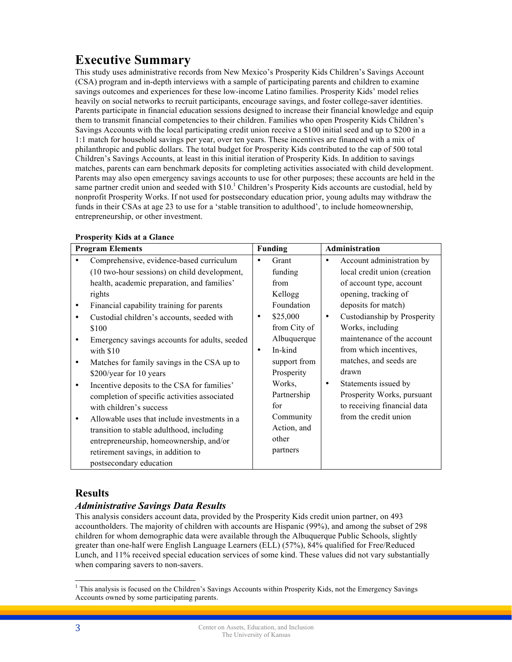# **Executive Summary**

This study uses administrative records from New Mexico's Prosperity Kids Children's Savings Account (CSA) program and in-depth interviews with a sample of participating parents and children to examine savings outcomes and experiences for these low-income Latino families. Prosperity Kids' model relies heavily on social networks to recruit participants, encourage savings, and foster college-saver identities. Parents participate in financial education sessions designed to increase their financial knowledge and equip them to transmit financial competencies to their children. Families who open Prosperity Kids Children's Savings Accounts with the local participating credit union receive a \$100 initial seed and up to \$200 in a 1:1 match for household savings per year, over ten years. These incentives are financed with a mix of philanthropic and public dollars. The total budget for Prosperity Kids contributed to the cap of 500 total Children's Savings Accounts, at least in this initial iteration of Prosperity Kids. In addition to savings matches, parents can earn benchmark deposits for completing activities associated with child development. Parents may also open emergency savings accounts to use for other purposes; these accounts are held in the same partner credit union and seeded with  $$10<sup>1</sup>$  Children's Prosperity Kids accounts are custodial, held by nonprofit Prosperity Works. If not used for postsecondary education prior, young adults may withdraw the funds in their CSAs at age 23 to use for a 'stable transition to adulthood', to include homeownership, entrepreneurship, or other investment.

| <b>Program Elements</b> |                                               | <b>Funding</b> |              | Administration |                              |
|-------------------------|-----------------------------------------------|----------------|--------------|----------------|------------------------------|
|                         | Comprehensive, evidence-based curriculum      | $\bullet$      | Grant        | ٠              | Account administration by    |
|                         | (10 two-hour sessions) on child development,  |                | funding      |                | local credit union (creation |
|                         | health, academic preparation, and families'   |                | from         |                | of account type, account     |
|                         | rights                                        |                | Kellogg      |                | opening, tracking of         |
| $\bullet$               | Financial capability training for parents     |                | Foundation   |                | deposits for match)          |
| ٠                       | Custodial children's accounts, seeded with    | $\bullet$      | \$25,000     | $\bullet$      | Custodianship by Prosperity  |
|                         | \$100                                         |                | from City of |                | Works, including             |
| ٠                       | Emergency savings accounts for adults, seeded |                | Albuquerque  |                | maintenance of the account   |
|                         | with $$10$                                    | $\bullet$      | In-kind      |                | from which incentives,       |
| $\bullet$               | Matches for family savings in the CSA up to   |                | support from |                | matches, and seeds are       |
|                         | \$200/year for 10 years                       |                | Prosperity   |                | drawn                        |
| ٠                       | Incentive deposits to the CSA for families'   |                | Works,       | ٠              | Statements issued by         |
|                         | completion of specific activities associated  |                | Partnership  |                | Prosperity Works, pursuant   |
|                         | with children's success                       |                | for          |                | to receiving financial data  |
| ٠                       | Allowable uses that include investments in a  |                | Community    |                | from the credit union        |
|                         | transition to stable adulthood, including     |                | Action, and  |                |                              |
|                         | entrepreneurship, homeownership, and/or       |                | other        |                |                              |
|                         | retirement savings, in addition to            |                | partners     |                |                              |
|                         | postsecondary education                       |                |              |                |                              |

#### **Prosperity Kids at a Glance**

## **Results**

## *Administrative Savings Data Results*

This analysis considers account data, provided by the Prosperity Kids credit union partner, on 493 accountholders. The majority of children with accounts are Hispanic (99%), and among the subset of 298 children for whom demographic data were available through the Albuquerque Public Schools, slightly greater than one-half were English Language Learners (ELL) (57%), 84% qualified for Free/Reduced Lunch, and 11% received special education services of some kind. These values did not vary substantially when comparing savers to non-savers.

<sup>&</sup>lt;sup>1</sup> This analysis is focused on the Children's Savings Accounts within Prosperity Kids, not the Emergency Savings Accounts owned by some participating parents.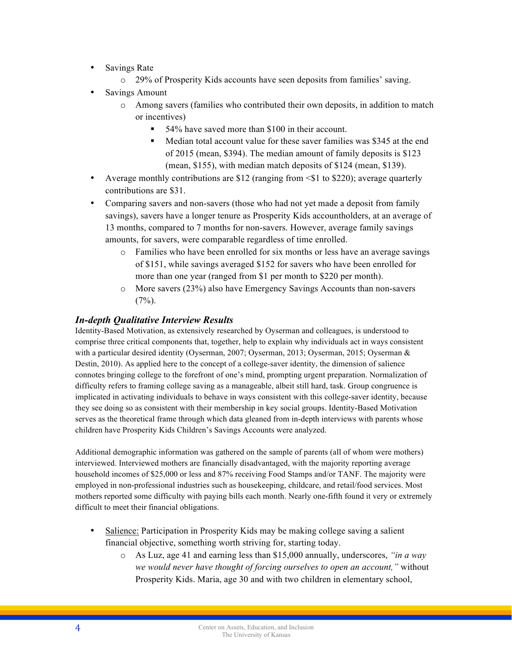- Savings Rate
	- o 29% of Prosperity Kids accounts have seen deposits from families' saving.
- Savings Amount
	- o Among savers (families who contributed their own deposits, in addition to match or incentives)
		- 54% have saved more than \$100 in their account.
		- § Median total account value for these saver families was \$345 at the end of 2015 (mean, \$394). The median amount of family deposits is \$123 (mean, \$155), with median match deposits of \$124 (mean, \$139).
- Average monthly contributions are \$12 (ranging from  $\leq$  1 to \$220); average quarterly contributions are \$31.
- Comparing savers and non-savers (those who had not yet made a deposit from family savings), savers have a longer tenure as Prosperity Kids accountholders, at an average of 13 months, compared to 7 months for non-savers. However, average family savings amounts, for savers, were comparable regardless of time enrolled.
	- o Families who have been enrolled for six months or less have an average savings of \$151, while savings averaged \$152 for savers who have been enrolled for more than one year (ranged from \$1 per month to \$220 per month).
	- o More savers (23%) also have Emergency Savings Accounts than non-savers  $(7\%)$ .

### *In-depth Qualitative Interview Results*

Identity-Based Motivation, as extensively researched by Oyserman and colleagues, is understood to comprise three critical components that, together, help to explain why individuals act in ways consistent with a particular desired identity (Oyserman, 2007; Oyserman, 2013; Oyserman, 2015; Oyserman & Destin, 2010). As applied here to the concept of a college-saver identity, the dimension of salience connotes bringing college to the forefront of one's mind, prompting urgent preparation. Normalization of difficulty refers to framing college saving as a manageable, albeit still hard, task. Group congruence is implicated in activating individuals to behave in ways consistent with this college-saver identity, because they see doing so as consistent with their membership in key social groups. Identity-Based Motivation serves as the theoretical frame through which data gleaned from in-depth interviews with parents whose children have Prosperity Kids Children's Savings Accounts were analyzed.

Additional demographic information was gathered on the sample of parents (all of whom were mothers) interviewed. Interviewed mothers are financially disadvantaged, with the majority reporting average household incomes of \$25,000 or less and 87% receiving Food Stamps and/or TANF. The majority were employed in non-professional industries such as housekeeping, childcare, and retail/food services. Most mothers reported some difficulty with paying bills each month. Nearly one-fifth found it very or extremely difficult to meet their financial obligations.

- Salience: Participation in Prosperity Kids may be making college saving a salient financial objective, something worth striving for, starting today.
	- o As Luz, age 41 and earning less than \$15,000 annually, underscores, *"in a way we would never have thought of forcing ourselves to open an account,"* without Prosperity Kids. Maria, age 30 and with two children in elementary school,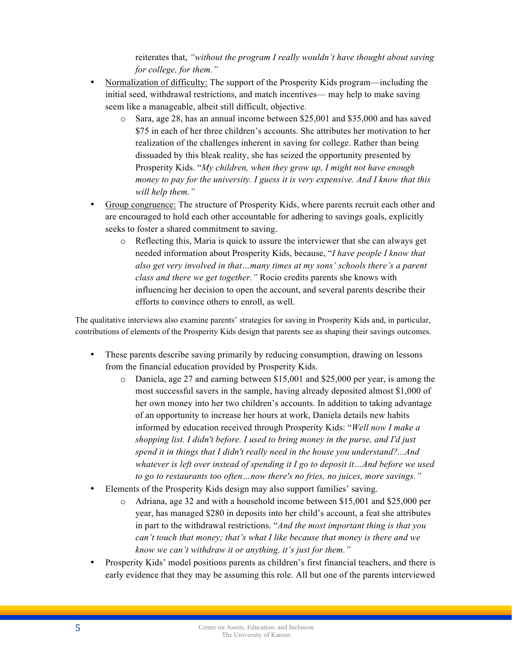reiterates that, *"without the program I really wouldn't have thought about saving for college, for them."* 

- Normalization of difficulty: The support of the Prosperity Kids program—including the initial seed, withdrawal restrictions, and match incentives— may help to make saving seem like a manageable, albeit still difficult, objective.
	- o Sara, age 28, has an annual income between \$25,001 and \$35,000 and has saved \$75 in each of her three children's accounts. She attributes her motivation to her realization of the challenges inherent in saving for college. Rather than being dissuaded by this bleak reality, she has seized the opportunity presented by Prosperity Kids. "*My children, when they grow up, I might not have enough money to pay for the university. I guess it is very expensive. And I know that this will help them."*
- Group congruence: The structure of Prosperity Kids, where parents recruit each other and are encouraged to hold each other accountable for adhering to savings goals, explicitly seeks to foster a shared commitment to saving.
	- $\circ$  Reflecting this, Maria is quick to assure the interviewer that she can always get needed information about Prosperity Kids, because, "*I have people I know that also get very involved in that…many times at my sons' schools there's a parent class and there we get together."* Rocio credits parents she knows with influencing her decision to open the account, and several parents describe their efforts to convince others to enroll, as well.

The qualitative interviews also examine parents' strategies for saving in Prosperity Kids and, in particular, contributions of elements of the Prosperity Kids design that parents see as shaping their savings outcomes.

- These parents describe saving primarily by reducing consumption, drawing on lessons from the financial education provided by Prosperity Kids.
	- o Daniela, age 27 and earning between \$15,001 and \$25,000 per year, is among the most successful savers in the sample, having already deposited almost \$1,000 of her own money into her two children's accounts. In addition to taking advantage of an opportunity to increase her hours at work, Daniela details new habits informed by education received through Prosperity Kids: "*Well now I make a shopping list. I didn't before. I used to bring money in the purse, and I'd just spend it in things that I didn't really need in the house you understand?...And whatever is left over instead of spending it I go to deposit it…And before we used to go to restaurants too often…now there's no fries, no juices, more savings."*
- Elements of the Prosperity Kids design may also support families' saving.
	- o Adriana, age 32 and with a household income between \$15,001 and \$25,000 per year, has managed \$280 in deposits into her child's account, a feat she attributes in part to the withdrawal restrictions. "*And the most important thing is that you can't touch that money; that's what I like because that money is there and we know we can't withdraw it or anything, it's just for them."*
- Prosperity Kids' model positions parents as children's first financial teachers, and there is early evidence that they may be assuming this role. All but one of the parents interviewed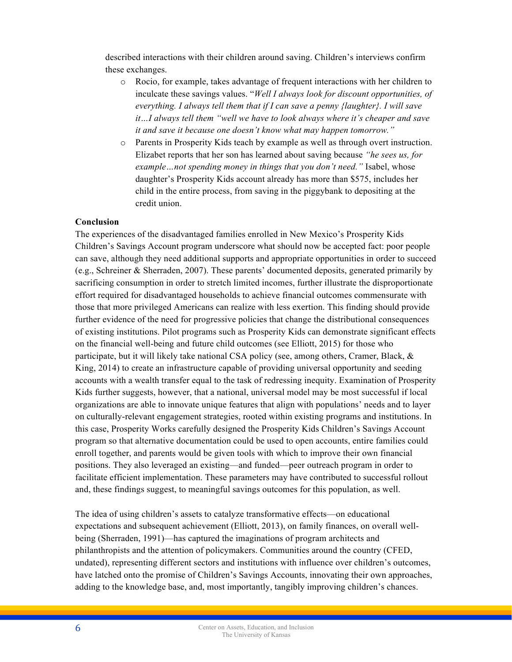described interactions with their children around saving. Children's interviews confirm these exchanges.

- o Rocio, for example, takes advantage of frequent interactions with her children to inculcate these savings values. "*Well I always look for discount opportunities, of everything. I always tell them that if I can save a penny {laughter}. I will save it…I always tell them "well we have to look always where it's cheaper and save it and save it because one doesn't know what may happen tomorrow."*
- o Parents in Prosperity Kids teach by example as well as through overt instruction. Elizabet reports that her son has learned about saving because *"he sees us, for example…not spending money in things that you don't need."* Isabel, whose daughter's Prosperity Kids account already has more than \$575, includes her child in the entire process, from saving in the piggybank to depositing at the credit union.

#### **Conclusion**

The experiences of the disadvantaged families enrolled in New Mexico's Prosperity Kids Children's Savings Account program underscore what should now be accepted fact: poor people can save, although they need additional supports and appropriate opportunities in order to succeed (e.g., Schreiner & Sherraden, 2007). These parents' documented deposits, generated primarily by sacrificing consumption in order to stretch limited incomes, further illustrate the disproportionate effort required for disadvantaged households to achieve financial outcomes commensurate with those that more privileged Americans can realize with less exertion. This finding should provide further evidence of the need for progressive policies that change the distributional consequences of existing institutions. Pilot programs such as Prosperity Kids can demonstrate significant effects on the financial well-being and future child outcomes (see Elliott, 2015) for those who participate, but it will likely take national CSA policy (see, among others, Cramer, Black, & King, 2014) to create an infrastructure capable of providing universal opportunity and seeding accounts with a wealth transfer equal to the task of redressing inequity. Examination of Prosperity Kids further suggests, however, that a national, universal model may be most successful if local organizations are able to innovate unique features that align with populations' needs and to layer on culturally-relevant engagement strategies, rooted within existing programs and institutions. In this case, Prosperity Works carefully designed the Prosperity Kids Children's Savings Account program so that alternative documentation could be used to open accounts, entire families could enroll together, and parents would be given tools with which to improve their own financial positions. They also leveraged an existing—and funded—peer outreach program in order to facilitate efficient implementation. These parameters may have contributed to successful rollout and, these findings suggest, to meaningful savings outcomes for this population, as well.

The idea of using children's assets to catalyze transformative effects—on educational expectations and subsequent achievement (Elliott, 2013), on family finances, on overall wellbeing (Sherraden, 1991)—has captured the imaginations of program architects and philanthropists and the attention of policymakers. Communities around the country (CFED, undated), representing different sectors and institutions with influence over children's outcomes, have latched onto the promise of Children's Savings Accounts, innovating their own approaches, adding to the knowledge base, and, most importantly, tangibly improving children's chances.